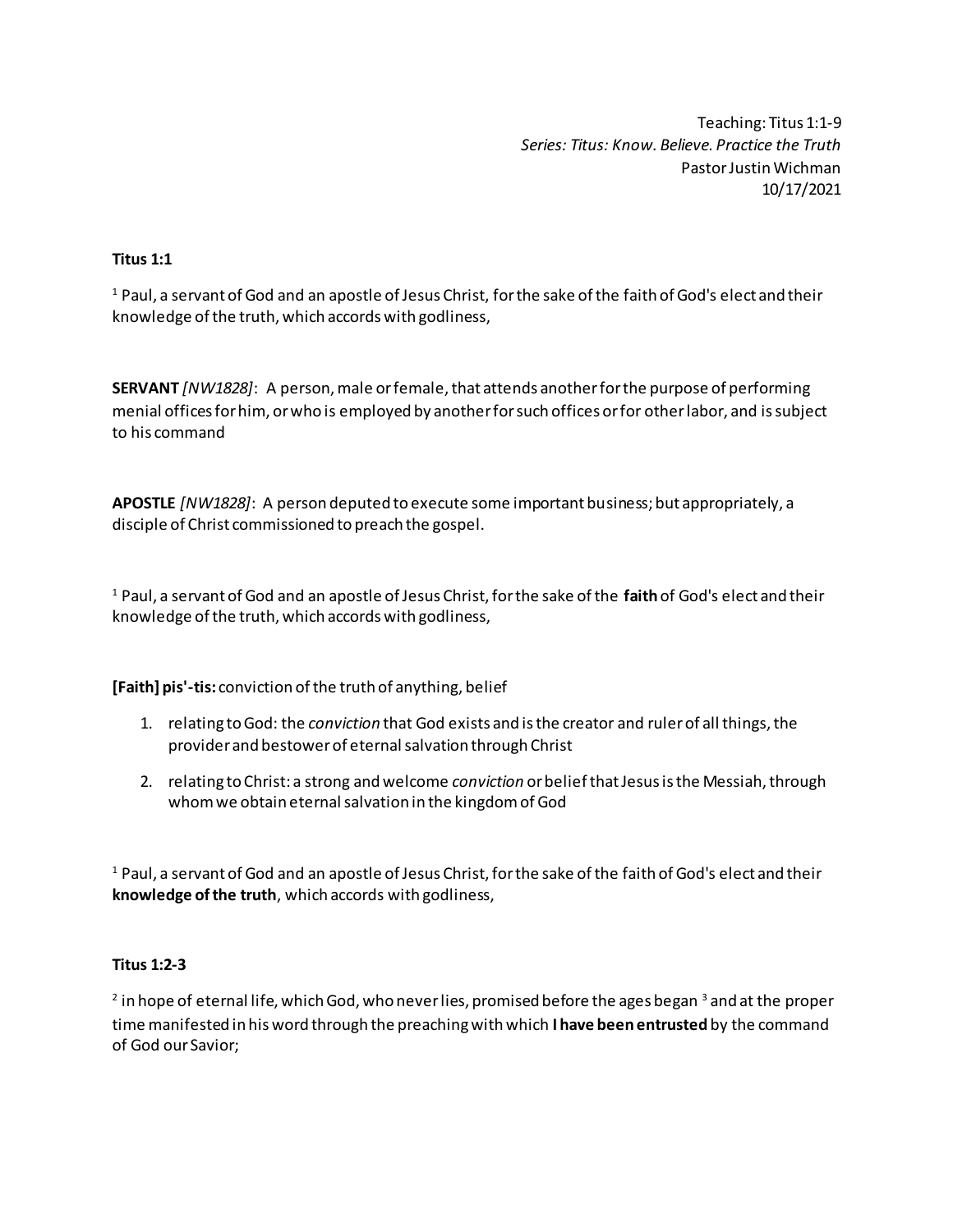Teaching: Titus 1:1-9 *Series: Titus: Know. Believe. Practice the Truth* Pastor Justin Wichman 10/17/2021

# **Titus 1:1**

<sup>1</sup> Paul, a servant of God and an apostle of Jesus Christ, for the sake of the faith of God's elect and their knowledge of the truth, which accords with godliness,

**SERVANT** *[NW1828]*: A person, male or female, that attends another for the purpose of performing menial offices for him, or who is employed by another for such offices or for other labor, and is subject to his command

**APOSTLE** *[NW1828]*: A person deputed to execute some important business; but appropriately, a disciple of Christ commissioned to preach the gospel.

<sup>1</sup> Paul, a servant of God and an apostle of Jesus Christ, for the sake of the **faith**of God's elect and their knowledge of the truth, which accords with godliness,

**[Faith] pis'-tis:** conviction of the truth of anything, belief

- 1. relating to God: the *conviction* that God exists and is the creator and ruler of all things, the provider and bestower of eternal salvation through Christ
- 2. relating to Christ: a strong and welcome *conviction* or belief that Jesus is the Messiah, through whom we obtain eternal salvation in the kingdom of God

<sup>1</sup> Paul, a servant of God and an apostle of Jesus Christ, for the sake of the faith of God's elect and their **knowledge of the truth**, which accords with godliness,

#### **Titus 1:2-3**

 $^{\text{2}}$  in hope of eternal life, which God, who never lies, promised before the ages began  $^{\text{3}}$  and at the proper time manifested in his word through the preaching with which **I have been entrusted** by the command of God our Savior;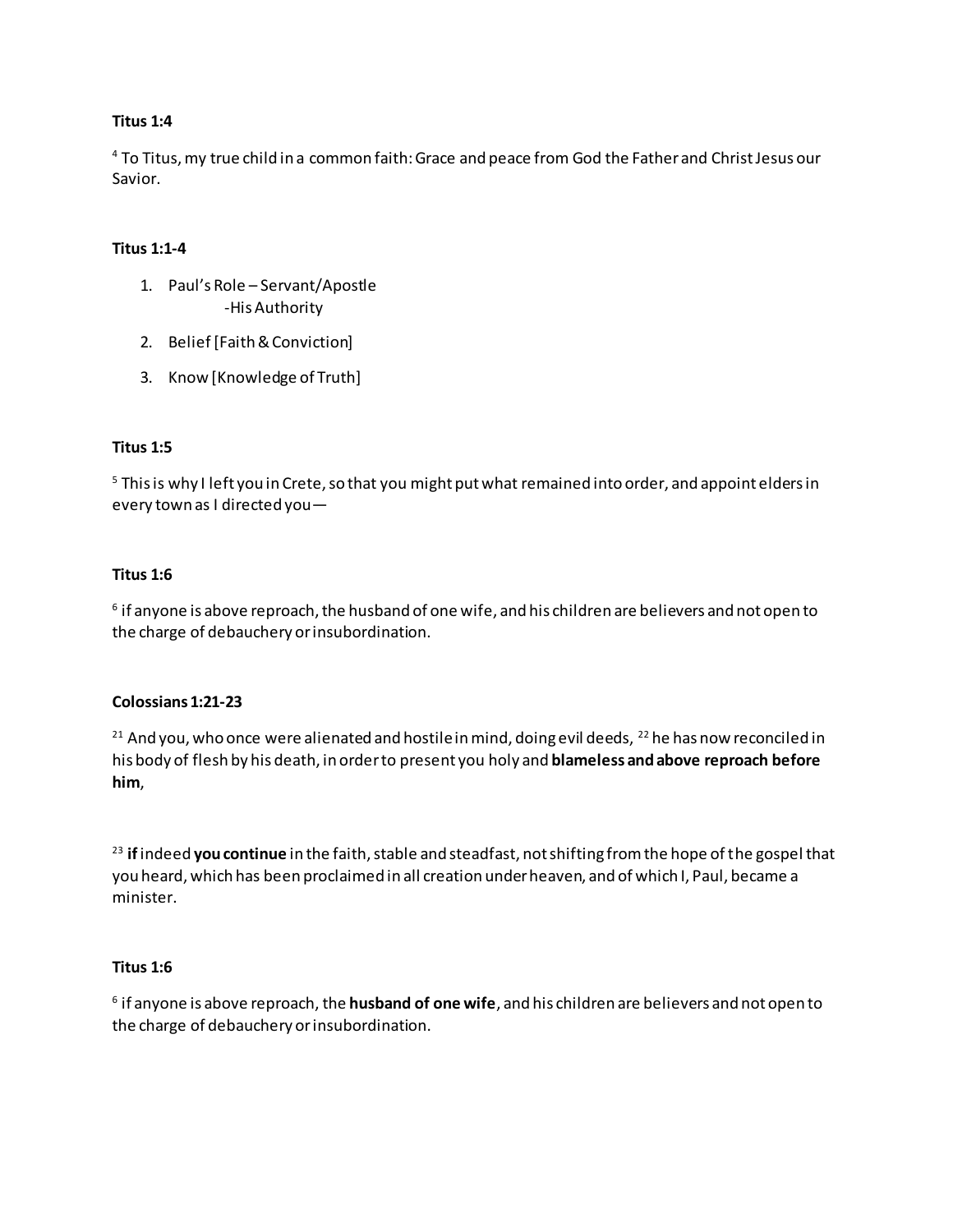#### **Titus 1:4**

<sup>4</sup> To Titus, my true child in a common faith: Grace and peace from God the Father and Christ Jesus our Savior.

# **Titus 1:1-4**

- 1. Paul's Role Servant/Apostle -His Authority
- 2. Belief [Faith & Conviction]
- 3. Know [Knowledge of Truth]

## **Titus 1:5**

 $5$  This is why I left you in Crete, so that you might put what remained into order, and appoint elders in every town as I directed you—

## **Titus 1:6**

 $^{\rm 6}$  if anyone is above reproach, the husband of one wife, and his children are believers and not open to the charge of debauchery or insubordination.

#### **Colossians 1:21-23**

<sup>21</sup> And you, who once were alienated and hostile in mind, doing evil deeds, <sup>22</sup> he has now reconciled in his body of flesh by his death, in order to present you holy and **blameless and above reproach before him**,

<sup>23</sup> **if**indeed **you continue** in the faith, stable and steadfast, not shifting from the hope of the gospel that you heard, which has been proclaimed in all creation under heaven, and of which I, Paul, became a minister.

#### **Titus 1:6**

6 if anyone is above reproach, the **husband of one wife**, and his children are believers and not open to the charge of debauchery or insubordination.